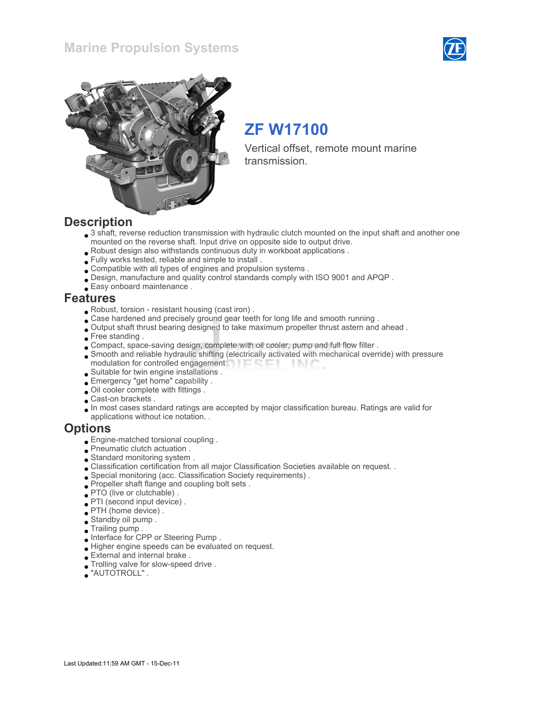### Marine Propulsion Systems





# ZF W17100

Vertical offset, remote mount marine transmission.

### **Description**

- 3 shaft, reverse reduction transmission with hydraulic clutch mounted on the input shaft and another one mounted on the reverse shaft. Input drive on opposite side to output drive.
- Robust design also withstands continuous duty in workboat applications .
- Fully works tested, reliable and simple to install .
- Compatible with all types of engines and propulsion systems .
- Design, manufacture and quality control standards comply with ISO 9001 and APQP .
- Easy onboard maintenance .

### Features

- Robust, torsion resistant housing (cast iron) .
- Case hardened and precisely ground gear teeth for long life and smooth running .
- Output shaft thrust bearing designed to take maximum propeller thrust astern and ahead .
- Free standing.
- Compact, space-saving design, complete with oil cooler, pump and full flow filter .
- Smooth and reliable hydraulic shifting (electrically activated with mechanical override) with pressure modulation for controlled engagement . **Example 20** - IN C
- Suitable for twin engine installations .
- Emergency "get home" capability .
- Oil cooler complete with fittings .
- Cast-on brackets .
- In most cases standard ratings are accepted by major classification bureau. Ratings are valid for applications without ice notation. .

### **Options**

- Engine-matched torsional coupling .
- Pneumatic clutch actuation .
- Standard monitoring system .
- Classification certification from all major Classification Societies available on request. .
- Special monitoring (acc. Classification Society requirements) .
- Propeller shaft flange and coupling bolt sets .
- PTO (live or clutchable) .
- PTI (second input device) .
- PTH (home device) .
- Standby oil pump .
- Trailing pump .
- Interface for CPP or Steering Pump .
- Higher engine speeds can be evaluated on request.
- External and internal brake .
- Trolling valve for slow-speed drive .
- "AUTOTROLL" .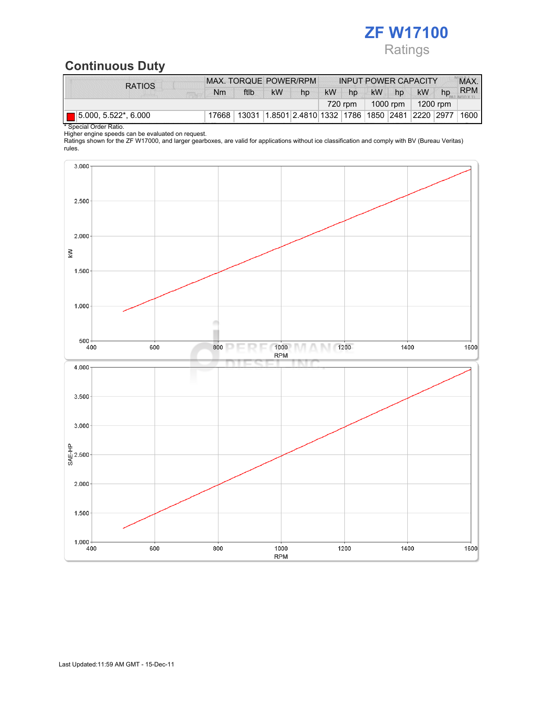# ZF W17100 Ratings

## Continuous Duty

| <b>RATIOS</b>                       | MAX. TORQUE POWER/RPM |      |           | <b>INPUT POWER CAPACITY</b>                               |           |    |                  |    | MAX.      |    |            |
|-------------------------------------|-----------------------|------|-----------|-----------------------------------------------------------|-----------|----|------------------|----|-----------|----|------------|
|                                     | Nm                    | ftlb | <b>kW</b> | hp                                                        | <b>kW</b> | hp | <b>kW</b>        | hp | <b>kW</b> | hp | <b>RPM</b> |
|                                     |                       |      |           |                                                           |           |    | 1000 rpm $\vert$ |    | 1200 rpm  |    |            |
| $\blacksquare$ 5.000, 5.522*, 6.000 | 17668                 |      |           | 13031  1.8501  2.4810  1332  1786  1850  2481  2220  2977 |           |    |                  |    |           |    | 1600       |

\* Special Order Ratio.

Higher engine speeds can be evaluated on request.

Ratings shown for the ZF W17000, and larger gearboxes, are valid for applications without ice classification and comply with BV (Bureau Veritas) rules.

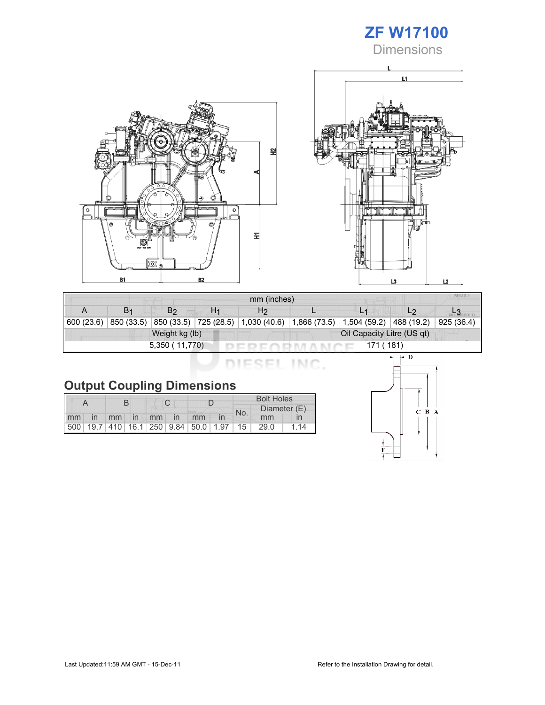## ZF W17100 Dimensions





| mm (inches)                 |                |                |    |                                                                         |  |                |                |            |  |
|-----------------------------|----------------|----------------|----|-------------------------------------------------------------------------|--|----------------|----------------|------------|--|
|                             | B <sub>1</sub> | B <sub>2</sub> | H1 | H <sub>2</sub>                                                          |  | L <sub>1</sub> | L <sub>2</sub> |            |  |
| 600 (23.6)                  | 850 (33.5)     |                |    | 850 (33.5) 725 (28.5) 1,030 (40.6) 1,866 (73.5) 1,504 (59.2) 488 (19.2) |  |                |                | 925 (36.4) |  |
|                             |                | Weight kg (lb) |    | Oil Capacity Litre (US qt)                                              |  |                |                |            |  |
| 5,350 (11,770)<br>171 (181) |                |                |    |                                                                         |  |                |                |            |  |

DIESEL INC.

|    |                |  |             |  |  | <b>Bolt Holes</b>                       |     |              |    |
|----|----------------|--|-------------|--|--|-----------------------------------------|-----|--------------|----|
|    |                |  |             |  |  |                                         | No. | Diameter (E) |    |
| mm | $\overline{m}$ |  | mm in mm in |  |  | mm                                      |     | mm           |    |
|    |                |  |             |  |  | 500 19.7 410 16.1 250 9.84 50.0 1.97 15 |     | 29.0         | 14 |

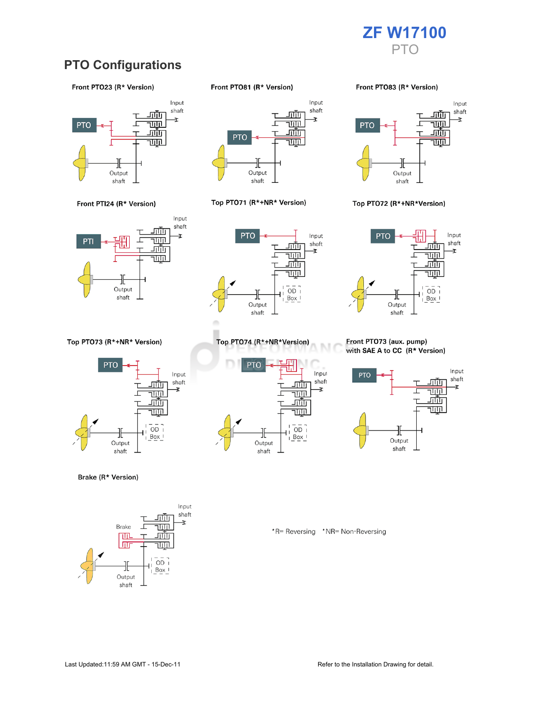

### **PTO Configurations**

#### Front PTO23 (R\* Version)





Top PTO73 (R\*+NR\* Version)



Brake (R\* Version)



Front PTO81 (R\* Version)



#### Top PTO71 (R\*+NR\* Version)



Top PTO74 (R\*+NR\*Version)

╫

Output

shaft

<u>ш.</u>

г

<u>जाण</u>

च्णा

<u>गाँग</u>

<u>TUTIL</u>

 $\overline{OD}$  1

 $Box$ 

**PTO** 

Front PTO83 (R\* Version)



#### Top PTO72 (R\*+NR\*Version)



#### Front PTO73 (aux. pump) with SAE A to CC (R\* Version)



\*R= Reversing \*NR= Non-Reversing

M

Input

shaft

Ŧ